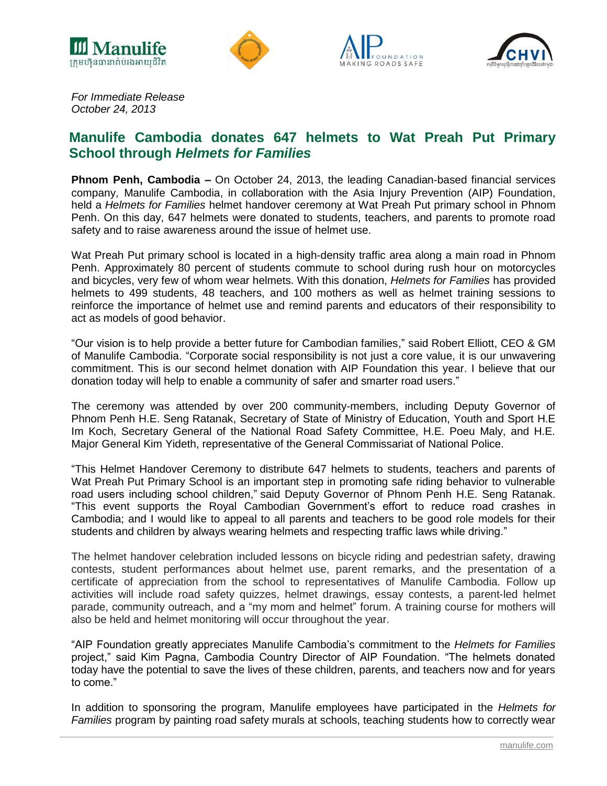







*For Immediate Release October 24, 2013*

# **Manulife Cambodia donates 647 helmets to Wat Preah Put Primary School through** *Helmets for Families*

**Phnom Penh, Cambodia –** On October 24, 2013, the leading Canadian-based financial services company, Manulife Cambodia, in collaboration with the Asia Injury Prevention (AIP) Foundation, held a *Helmets for Families* helmet handover ceremony at Wat Preah Put primary school in Phnom Penh. On this day, 647 helmets were donated to students, teachers, and parents to promote road safety and to raise awareness around the issue of helmet use.

Wat Preah Put primary school is located in a high-density traffic area along a main road in Phnom Penh. Approximately 80 percent of students commute to school during rush hour on motorcycles and bicycles, very few of whom wear helmets. With this donation, *Helmets for Families* has provided helmets to 499 students, 48 teachers, and 100 mothers as well as helmet training sessions to reinforce the importance of helmet use and remind parents and educators of their responsibility to act as models of good behavior.

"Our vision is to help provide a better future for Cambodian families," said Robert Elliott, CEO & GM of Manulife Cambodia. "Corporate social responsibility is not just a core value, it is our unwavering commitment. This is our second helmet donation with AIP Foundation this year. I believe that our donation today will help to enable a community of safer and smarter road users."

The ceremony was attended by over 200 community-members, including Deputy Governor of Phnom Penh H.E. Seng Ratanak, Secretary of State of Ministry of Education, Youth and Sport H.E Im Koch, Secretary General of the National Road Safety Committee, H.E. Poeu Maly, and H.E. Major General Kim Yideth, representative of the General Commissariat of National Police.

"This Helmet Handover Ceremony to distribute 647 helmets to students, teachers and parents of Wat Preah Put Primary School is an important step in promoting safe riding behavior to vulnerable road users including school children," said Deputy Governor of Phnom Penh H.E. Seng Ratanak. "This event supports the Royal Cambodian Government"s effort to reduce road crashes in Cambodia; and I would like to appeal to all parents and teachers to be good role models for their students and children by always wearing helmets and respecting traffic laws while driving."

The helmet handover celebration included lessons on bicycle riding and pedestrian safety, drawing contests, student performances about helmet use, parent remarks, and the presentation of a certificate of appreciation from the school to representatives of Manulife Cambodia. Follow up activities will include road safety quizzes, helmet drawings, essay contests, a parent-led helmet parade, community outreach, and a "my mom and helmet" forum. A training course for mothers will also be held and helmet monitoring will occur throughout the year.

"AIP Foundation greatly appreciates Manulife Cambodia"s commitment to the *Helmets for Families* project," said Kim Pagna, Cambodia Country Director of AIP Foundation. "The helmets donated today have the potential to save the lives of these children, parents, and teachers now and for years to come."

In addition to sponsoring the program, Manulife employees have participated in the *Helmets for Families* program by painting road safety murals at schools, teaching students how to correctly wear